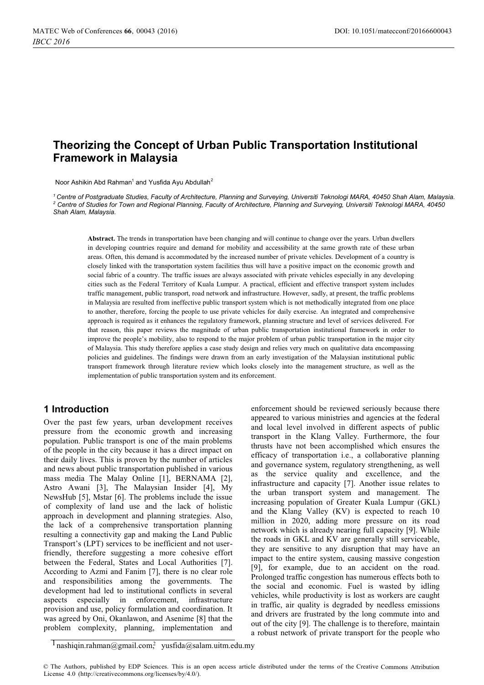# **Theorizing the Concept of Urban Public Transportation Institutional Framework in Malaysia**

Noor Ashikin Abd Rahman<sup>1</sup> and Yusfida Ayu Abdullah<sup>2</sup>

*1 Centre of Postgraduate Studies, Faculty of Architecture, Planning and Surveying, Universiti Teknologi MARA, 40450 Shah Alam, Malaysia. 2 Centre of Studies for Town and Regional Planning, Faculty of Architecture, Planning and Surveying, Universiti Teknologi MARA, 40450 Shah Alam, Malaysia.* 

**Abstract.** The trends in transportation have been changing and will continue to change over the years. Urban dwellers in developing countries require and demand for mobility and accessibility at the same growth rate of these urban areas. Often, this demand is accommodated by the increased number of private vehicles. Development of a country is closely linked with the transportation system facilities thus will have a positive impact on the economic growth and social fabric of a country. The traffic issues are always associated with private vehicles especially in any developing cities such as the Federal Territory of Kuala Lumpur. A practical, efficient and effective transport system includes traffic management, public transport, road network and infrastructure. However, sadly, at present, the traffic problems in Malaysia are resulted from ineffective public transport system which is not methodically integrated from one place to another, therefore, forcing the people to use private vehicles for daily exercise. An integrated and comprehensive approach is required as it enhances the regulatory framework, planning structure and level of services delivered. For that reason, this paper reviews the magnitude of urban public transportation institutional framework in order to improve the people's mobility, also to respond to the major problem of urban public transportation in the major city of Malaysia. This study therefore applies a case study design and relies very much on qualitative data encompassing policies and guidelines. The findings were drawn from an early investigation of the Malaysian institutional public transport framework through literature review which looks closely into the management structure, as well as the implementation of public transportation system and its enforcement.

## **1 Introduction**

Over the past few years, urban development receives pressure from the economic growth and increasing population. Public transport is one of the main problems of the people in the city because it has a direct impact on their daily lives. This is proven by the number of articles and news about public transportation published in various mass media The Malay Online [1], BERNAMA [2], Astro Awani [3], The Malaysian Insider [4], My NewsHub [5], Mstar [6]. The problems include the issue of complexity of land use and the lack of holistic approach in development and planning strategies. Also, the lack of a comprehensive transportation planning resulting a connectivity gap and making the Land Public Transport's (LPT) services to be inefficient and not userfriendly, therefore suggesting a more cohesive effort between the Federal, States and Local Authorities [7]. According to Azmi and Fanim [7], there is no clear role and responsibilities among the governments. The development had led to institutional conflicts in several aspects especially in enforcement, infrastructure provision and use, policy formulation and coordination. It was agreed by Oni, Okanlawon, and Asenime [8] that the problem complexity, planning, implementation and

enforcement should be reviewed seriously because there appeared to various ministries and agencies at the federal and local level involved in different aspects of public transport in the Klang Valley. Furthermore, the four thrusts have not been accomplished which ensures the efficacy of transportation i.e., a collaborative planning and governance system, regulatory strengthening, as well as the service quality and excellence, and the infrastructure and capacity [7]. Another issue relates to the urban transport system and management. The increasing population of Greater Kuala Lumpur (GKL) and the Klang Valley (KV) is expected to reach 10 million in 2020, adding more pressure on its road network which is already nearing full capacity [9]. While the roads in GKL and KV are generally still serviceable, they are sensitive to any disruption that may have an impact to the entire system, causing massive congestion [9], for example, due to an accident on the road. Prolonged traffic congestion has numerous effects both to the social and economic. Fuel is wasted by idling vehicles, while productivity is lost as workers are caught in traffic, air quality is degraded by needless emissions and drivers are frustrated by the long commute into and out of the city [9]. The challenge is to therefore, maintain a robust network of private transport for the people who

 $\frac{1}{1}$ nashiqin.rahman@gmail.com, [yusfida@salam.uitm.edu.my](mailto:yusfida@salam.uitm.edu.my)

<sup>©</sup> The Authors, published by EDP Sciences. This is an open access article distributed under the terms of the Creative Commons Attribution License 4.0 [\(http://creativecommons.org/licenses/by/4.0/\).](http://creativecommons.org/licenses/by/4.0/)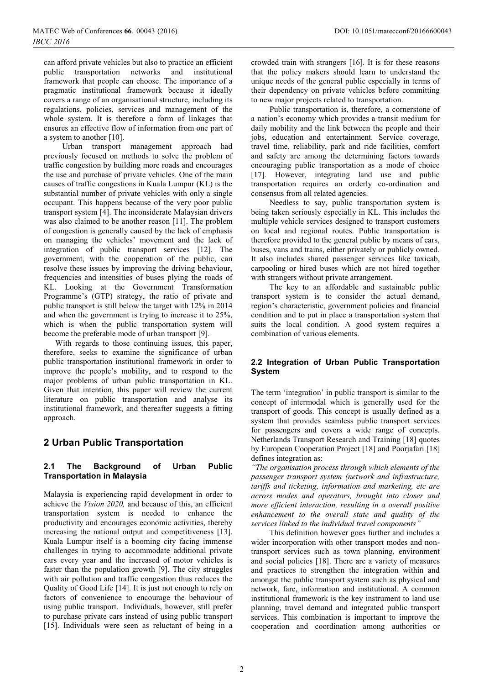can afford private vehicles but also to practice an efficient public transportation networks and institutional framework that people can choose. The importance of a pragmatic institutional framework because it ideally covers a range of an organisational structure, including its regulations, policies, services and management of the whole system. It is therefore a form of linkages that ensures an effective flow of information from one part of a system to another [10].

Urban transport management approach had previously focused on methods to solve the problem of traffic congestion by building more roads and encourages the use and purchase of private vehicles. One of the main causes of traffic congestions in Kuala Lumpur (KL) is the substantial number of private vehicles with only a single occupant. This happens because of the very poor public transport system [4]. The inconsiderate Malaysian drivers was also claimed to be another reason [11]. The problem of congestion is generally caused by the lack of emphasis on managing the vehicles' movement and the lack of integration of public transport services [12]. The government, with the cooperation of the public, can resolve these issues by improving the driving behaviour, frequencies and intensities of buses plying the roads of KL. Looking at the Government Transformation Programme's (GTP) strategy, the ratio of private and public transport is still below the target with 12% in 2014 and when the government is trying to increase it to 25%, which is when the public transportation system will become the preferable mode of urban transport [9].

With regards to those continuing issues, this paper, therefore, seeks to examine the significance of urban public transportation institutional framework in order to improve the people's mobility, and to respond to the major problems of urban public transportation in KL. Given that intention, this paper will review the current literature on public transportation and analyse its institutional framework, and thereafter suggests a fitting approach.

## **2 Urban Public Transportation**

## **2.1 The Background of Urban Public Transportation in Malaysia**

Malaysia is experiencing rapid development in order to achieve the *Vision 2020,* and because of this, an efficient transportation system is needed to enhance the productivity and encourages economic activities, thereby increasing the national output and competitiveness [13]. Kuala Lumpur itself is a booming city facing immense challenges in trying to accommodate additional private cars every year and the increased of motor vehicles is faster than the population growth [9]. The city struggles with air pollution and traffic congestion thus reduces the Quality of Good Life [14]. It is just not enough to rely on factors of convenience to encourage the behaviour of using public transport. Individuals, however, still prefer to purchase private cars instead of using public transport [15]. Individuals were seen as reluctant of being in a crowded train with strangers [16]. It is for these reasons that the policy makers should learn to understand the unique needs of the general public especially in terms of their dependency on private vehicles before committing to new major projects related to transportation.

 Public transportation is, therefore, a cornerstone of a nation's economy which provides a transit medium for daily mobility and the link between the people and their jobs, education and entertainment. Service coverage, travel time, reliability, park and ride facilities, comfort and safety are among the determining factors towards encouraging public transportation as a mode of choice [17]. However, integrating land use and public transportation requires an orderly co-ordination and consensus from all related agencies.

 Needless to say, public transportation system is being taken seriously especially in KL. This includes the multiple vehicle services designed to transport customers on local and regional routes. Public transportation is therefore provided to the general public by means of cars, buses, vans and trains, either privately or publicly owned. It also includes shared passenger services like taxicab, carpooling or hired buses which are not hired together with strangers without private arrangement.

 The key to an affordable and sustainable public transport system is to consider the actual demand, region's characteristic, government policies and financial condition and to put in place a transportation system that suits the local condition. A good system requires a combination of various elements.

## **2.2 Integration of Urban Public Transportation System**

The term 'integration' in public transport is similar to the concept of intermodal which is generally used for the transport of goods. This concept is usually defined as a system that provides seamless public transport services for passengers and covers a wide range of concepts. Netherlands Transport Research and Training [18] quotes by European Cooperation Project [18] and Poorjafari [18] defines integration as:

*"The organisation process through which elements of the passenger transport system (network and infrastructure, tariffs and ticketing, information and marketing, etc are across modes and operators, brought into closer and more efficient interaction, resulting in a overall positive enhancement to the overall state and quality of the services linked to the individual travel components"*

 This definition however goes further and includes a wider incorporation with other transport modes and nontransport services such as town planning, environment and social policies [18]. There are a variety of measures and practices to strengthen the integration within and amongst the public transport system such as physical and network, fare, information and institutional. A common institutional framework is the key instrument to land use planning, travel demand and integrated public transport services. This combination is important to improve the cooperation and coordination among authorities or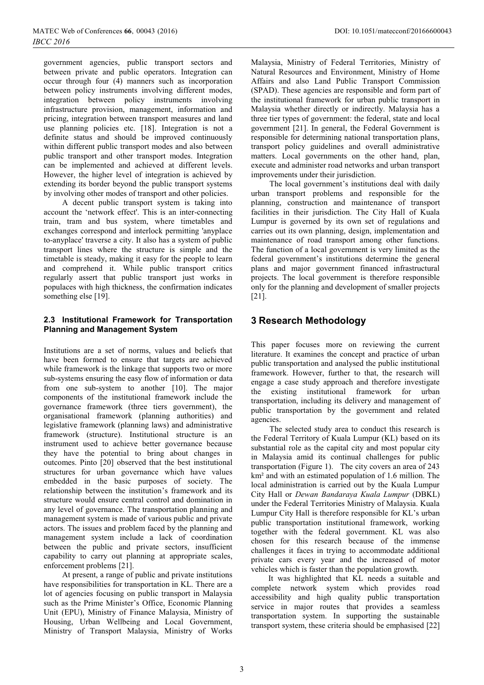government agencies, public transport sectors and between private and public operators. Integration can occur through four (4) manners such as incorporation between policy instruments involving different modes, integration between policy instruments involving infrastructure provision, management, information and pricing, integration between transport measures and land use planning policies etc. [18]. Integration is not a definite status and should be improved continuously within different public transport modes and also between public transport and other transport modes. Integration can be implemented and achieved at different levels. However, the higher level of integration is achieved by extending its border beyond the public transport systems by involving other modes of transport and other policies.

 A decent public transport system is taking into account the 'network effect'. This is an inter-connecting train, tram and bus system, where timetables and exchanges correspond and interlock permitting 'anyplace to-anyplace' traverse a city. It also has a system of public transport lines where the structure is simple and the timetable is steady, making it easy for the people to learn and comprehend it. While public transport critics regularly assert that public transport just works in populaces with high thickness, the confirmation indicates something else [19].

### **2.3 Institutional Framework for Transportation Planning and Management System**

Institutions are a set of norms, values and beliefs that have been formed to ensure that targets are achieved while framework is the linkage that supports two or more sub-systems ensuring the easy flow of information or data from one sub-system to another [10]. The major components of the institutional framework include the governance framework (three tiers government), the organisational framework (planning authorities) and legislative framework (planning laws) and administrative framework (structure). Institutional structure is an instrument used to achieve better governance because they have the potential to bring about changes in outcomes. Pinto [20] observed that the best institutional structures for urban governance which have values embedded in the basic purposes of society. The relationship between the institution's framework and its structure would ensure central control and domination in any level of governance. The transportation planning and management system is made of various public and private actors. The issues and problem faced by the planning and management system include a lack of coordination between the public and private sectors, insufficient capability to carry out planning at appropriate scales, enforcement problems [21].

 At present, a range of public and private institutions have responsibilities for transportation in KL. There are a lot of agencies focusing on public transport in Malaysia such as the Prime Minister's Office, Economic Planning Unit (EPU), Ministry of Finance Malaysia, Ministry of Housing, Urban Wellbeing and Local Government, Ministry of Transport Malaysia, Ministry of Works

Malaysia, Ministry of Federal Territories, Ministry of Natural Resources and Environment, Ministry of Home Affairs and also Land Public Transport Commission (SPAD). These agencies are responsible and form part of the institutional framework for urban public transport in Malaysia whether directly or indirectly. Malaysia has a three tier types of government: the federal, state and local government [21]. In general, the Federal Government is responsible for determining national transportation plans, transport policy guidelines and overall administrative matters. Local governments on the other hand, plan, execute and administer road networks and urban transport improvements under their jurisdiction.

 The local government's institutions deal with daily urban transport problems and responsible for the planning, construction and maintenance of transport facilities in their jurisdiction. The City Hall of Kuala Lumpur is governed by its own set of regulations and carries out its own planning, design, implementation and maintenance of road transport among other functions. The function of a local government is very limited as the federal government's institutions determine the general plans and major government financed infrastructural projects. The local government is therefore responsible only for the planning and development of smaller projects [21].

# **3 Research Methodology**

This paper focuses more on reviewing the current literature. It examines the concept and practice of urban public transportation and analysed the public institutional framework. However, further to that, the research will engage a case study approach and therefore investigate the existing institutional framework for urban transportation, including its delivery and management of public transportation by the government and related agencies.

The selected study area to conduct this research is the Federal Territory of Kuala Lumpur (KL) based on its substantial role as the capital city and most popular city in Malaysia amid its continual challenges for public transportation (Figure 1). The city covers an area of 243 km² and with an estimated population of 1.6 million. The local administration is carried out by the Kuala Lumpur City Hall or *Dewan Bandaraya Kuala Lumpur* (DBKL) under the Federal Territories Ministry of Malaysia. Kuala Lumpur City Hall is therefore responsible for KL's urban public transportation institutional framework, working together with the federal government. KL was also chosen for this research because of the immense challenges it faces in trying to accommodate additional private cars every year and the increased of motor vehicles which is faster than the population growth.

It was highlighted that KL needs a suitable and complete network system which provides road accessibility and high quality public transportation service in major routes that provides a seamless transportation system. In supporting the sustainable transport system, these criteria should be emphasised [22]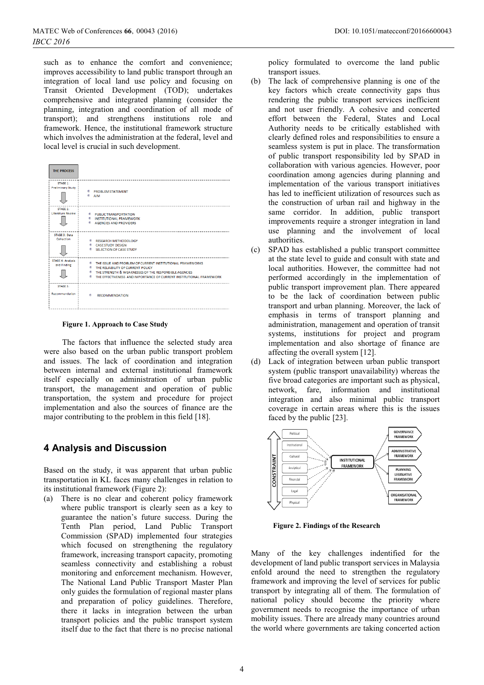such as to enhance the comfort and convenience; improves accessibility to land public transport through an integration of local land use policy and focusing on Transit Oriented Development (TOD); undertakes comprehensive and integrated planning (consider the planning, integration and coordination of all mode of transport); and strengthens institutions role and framework. Hence, the institutional framework structure which involves the administration at the federal, level and local level is crucial in such development.

| <b>THE PROCESS</b>                   |                                                                                                                                                                                                                                |
|--------------------------------------|--------------------------------------------------------------------------------------------------------------------------------------------------------------------------------------------------------------------------------|
| STAGE 1:<br><b>Preliminary Study</b> | <b>PROBLEM STATEMENT</b><br><b>E</b> AIM                                                                                                                                                                                       |
| STAGE 2:<br>Literature Review        | <b>PUBLIC TRANSPORTATION</b><br><b>INSTITUTIONAL FRAMEWORK</b><br>AGENCIES AND PROVIDERS                                                                                                                                       |
| STAGE 3: Data<br>Collection          | <b>RESEARCH METHODOLOGY</b><br><b>CASE STUDY DESIGN</b><br>SELECTION OF CASE STUDY                                                                                                                                             |
| STAGE 4: Analysis<br>and Finding     | THE ISSUE AND PROBLEM OF CURRENT INSTITUTIONAL FRAMEWORKS<br>THE RELIABILITY OF CURRENT POLICY<br>THE STRENGTH & WEAKNESSES OF THE RESPONSIBLE AGENCIES<br>THE EFFECTIVENESS AND IMPORTANCE OF CURRENT INSTITUTIONAL FRAMEWORK |
| STAGE 5:<br>Recommendation           | ۰<br><b>RECOMMENDATION</b>                                                                                                                                                                                                     |

#### **Figure 1. Approach to Case Study**

The factors that influence the selected study area were also based on the urban public transport problem and issues. The lack of coordination and integration between internal and external institutional framework itself especially on administration of urban public transport, the management and operation of public transportation, the system and procedure for project implementation and also the sources of finance are the major contributing to the problem in this field [18].

## **4 Analysis and Discussion**

Based on the study, it was apparent that urban public transportation in KL faces many challenges in relation to its institutional framework (Figure 2):

(a) There is no clear and coherent policy framework where public transport is clearly seen as a key to guarantee the nation's future success. During the Tenth Plan period, Land Public Transport Commission (SPAD) implemented four strategies which focused on strengthening the regulatory framework, increasing transport capacity, promoting seamless connectivity and establishing a robust monitoring and enforcement mechanism. However, The National Land Public Transport Master Plan only guides the formulation of regional master plans and preparation of policy guidelines. Therefore, there it lacks in integration between the urban transport policies and the public transport system itself due to the fact that there is no precise national

policy formulated to overcome the land public transport issues.

- (b) The lack of comprehensive planning is one of the key factors which create connectivity gaps thus rendering the public transport services inefficient and not user friendly. A cohesive and concerted effort between the Federal, States and Local Authority needs to be critically established with clearly defined roles and responsibilities to ensure a seamless system is put in place. The transformation of public transport responsibility led by SPAD in collaboration with various agencies. However, poor coordination among agencies during planning and implementation of the various transport initiatives has led to inefficient utilization of resources such as the construction of urban rail and highway in the same corridor. In addition, public transport improvements require a stronger integration in land use planning and the involvement of local authorities.
- (c) SPAD has established a public transport committee at the state level to guide and consult with state and local authorities. However, the committee had not performed accordingly in the implementation of public transport improvement plan. There appeared to be the lack of coordination between public transport and urban planning. Moreover, the lack of emphasis in terms of transport planning and administration, management and operation of transit systems, institutions for project and program implementation and also shortage of finance are affecting the overall system [12].
- (d) Lack of integration between urban public transport system (public transport unavailability) whereas the five broad categories are important such as physical, network, fare, information and institutional integration and also minimal public transport coverage in certain areas where this is the issues faced by the public [23].



 **Figure 2. Findings of the Research**

Many of the key challenges indentified for the development of land public transport services in Malaysia enfold around the need to strengthen the regulatory framework and improving the level of services for public transport by integrating all of them. The formulation of national policy should become the priority where government needs to recognise the importance of urban mobility issues. There are already many countries around the world where governments are taking concerted action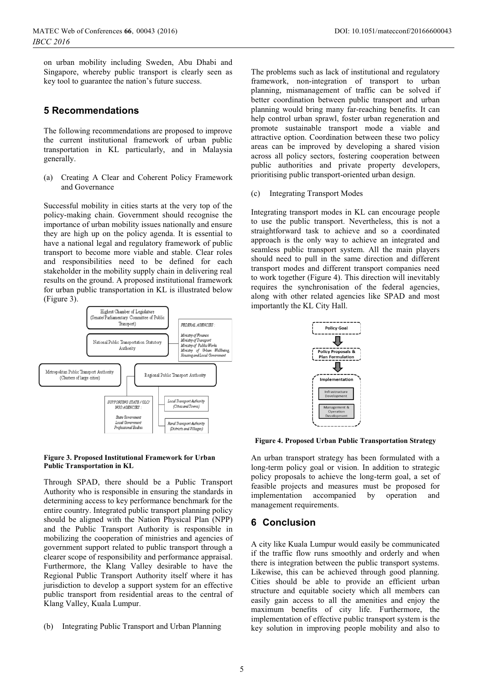on urban mobility including Sweden, Abu Dhabi and Singapore, whereby public transport is clearly seen as key tool to guarantee the nation's future success.

## **5 Recommendations**

The following recommendations are proposed to improve the current institutional framework of urban public transportation in KL particularly, and in Malaysia generally.

(a) Creating A Clear and Coherent Policy Framework and Governance

Successful mobility in cities starts at the very top of the policy-making chain. Government should recognise the importance of urban mobility issues nationally and ensure they are high up on the policy agenda. It is essential to have a national legal and regulatory framework of public transport to become more viable and stable. Clear roles and responsibilities need to be defined for each stakeholder in the mobility supply chain in delivering real results on the ground. A proposed institutional framework for urban public transportation in KL is illustrated below (Figure 3).



#### **Figure 3. Proposed Institutional Framework for Urban Public Transportation in KL**

Through SPAD, there should be a Public Transport Authority who is responsible in ensuring the standards in determining access to key performance benchmark for the entire country. Integrated public transport planning policy should be aligned with the Nation Physical Plan (NPP) and the Public Transport Authority is responsible in mobilizing the cooperation of ministries and agencies of government support related to public transport through a clearer scope of responsibility and performance appraisal. Furthermore, the Klang Valley desirable to have the Regional Public Transport Authority itself where it has jurisdiction to develop a support system for an effective public transport from residential areas to the central of Klang Valley, Kuala Lumpur.

The problems such as lack of institutional and regulatory framework, non-integration of transport to urban planning, mismanagement of traffic can be solved if better coordination between public transport and urban planning would bring many far-reaching benefits. It can help control urban sprawl, foster urban regeneration and promote sustainable transport mode a viable and attractive option. Coordination between these two policy areas can be improved by developing a shared vision across all policy sectors, fostering cooperation between public authorities and private property developers, prioritising public transport-oriented urban design.

(c) Integrating Transport Modes

Integrating transport modes in KL can encourage people to use the public transport. Nevertheless, this is not a straightforward task to achieve and so a coordinated approach is the only way to achieve an integrated and seamless public transport system. All the main players should need to pull in the same direction and different transport modes and different transport companies need to work together (Figure 4). This direction will inevitably requires the synchronisation of the federal agencies, along with other related agencies like SPAD and most importantly the KL City Hall.



**Figure 4. Proposed Urban Public Transportation Strategy** 

An urban transport strategy has been formulated with a long-term policy goal or vision. In addition to strategic policy proposals to achieve the long-term goal, a set of feasible projects and measures must be proposed for implementation accompanied by operation and management requirements.

# **6 Conclusion**

A city like Kuala Lumpur would easily be communicated if the traffic flow runs smoothly and orderly and when there is integration between the public transport systems. Likewise, this can be achieved through good planning. Cities should be able to provide an efficient urban structure and equitable society which all members can easily gain access to all the amenities and enjoy the maximum benefits of city life. Furthermore, the implementation of effective public transport system is the key solution in improving people mobility and also to

<sup>(</sup>b) Integrating Public Transport and Urban Planning